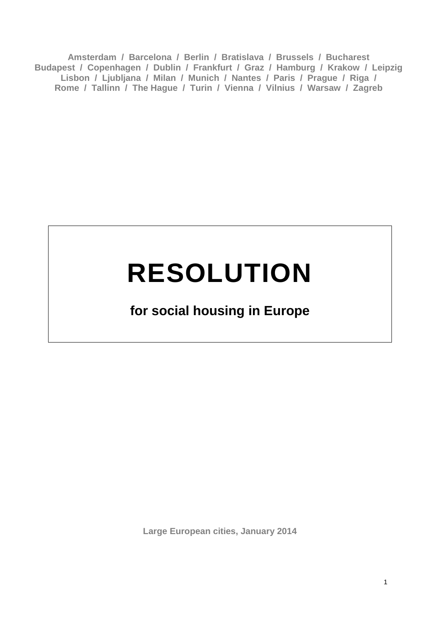**Amsterdam / Barcelona / Berlin / Bratislava / Brussels / Bucharest Budapest / Copenhagen / Dublin / Frankfurt / Graz / Hamburg / Krakow / Leipzig Lisbon / Ljubljana / Milan / Munich / Nantes / Paris / Prague / Riga / Rome / Tallinn / The Hague / Turin / Vienna / Vilnius / Warsaw / Zagreb**

# **RESOLUTION**

# **for social housing in Europe**

**Large European cities, January 2014**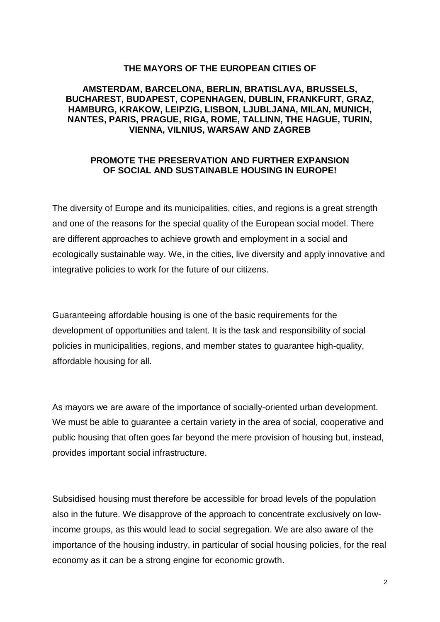# **THE MAYORS OF THE EUROPEAN CITIES OF**

#### **AMSTERDAM, BARCELONA, BERLIN, BRATISLAVA, BRUSSELS, BUCHAREST, BUDAPEST, COPENHAGEN, DUBLIN, FRANKFURT, GRAZ, HAMBURG, KRAKOW, LEIPZIG, LISBON, LJUBLJANA, MILAN, MUNICH, NANTES, PARIS, PRAGUE, RIGA, ROME, TALLINN, THE HAGUE, TURIN, VIENNA, VILNIUS, WARSAW AND ZAGREB**

### **PROMOTE THE PRESERVATION AND FURTHER EXPANSION OF SOCIAL AND SUSTAINABLE HOUSING IN EUROPE!**

The diversity of Europe and its municipalities, cities, and regions is a great strength and one of the reasons for the special quality of the European social model. There are different approaches to achieve growth and employment in a social and ecologically sustainable way. We, in the cities, live diversity and apply innovative and integrative policies to work for the future of our citizens.

Guaranteeing affordable housing is one of the basic requirements for the development of opportunities and talent. It is the task and responsibility of social policies in municipalities, regions, and member states to guarantee high-quality, affordable housing for all.

As mayors we are aware of the importance of socially-oriented urban development. We must be able to guarantee a certain variety in the area of social, cooperative and public housing that often goes far beyond the mere provision of housing but, instead, provides important social infrastructure.

Subsidised housing must therefore be accessible for broad levels of the population also in the future. We disapprove of the approach to concentrate exclusively on lowincome groups, as this would lead to social segregation. We are also aware of the importance of the housing industry, in particular of social housing policies, for the real economy as it can be a strong engine for economic growth.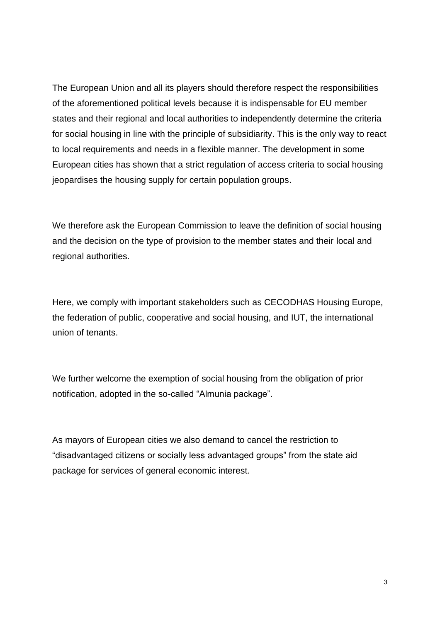The European Union and all its players should therefore respect the responsibilities of the aforementioned political levels because it is indispensable for EU member states and their regional and local authorities to independently determine the criteria for social housing in line with the principle of subsidiarity. This is the only way to react to local requirements and needs in a flexible manner. The development in some European cities has shown that a strict regulation of access criteria to social housing jeopardises the housing supply for certain population groups.

We therefore ask the European Commission to leave the definition of social housing and the decision on the type of provision to the member states and their local and regional authorities.

Here, we comply with important stakeholders such as CECODHAS Housing Europe, the federation of public, cooperative and social housing, and IUT, the international union of tenants.

We further welcome the exemption of social housing from the obligation of prior notification, adopted in the so-called "Almunia package".

As mayors of European cities we also demand to cancel the restriction to "disadvantaged citizens or socially less advantaged groups" from the state aid package for services of general economic interest.